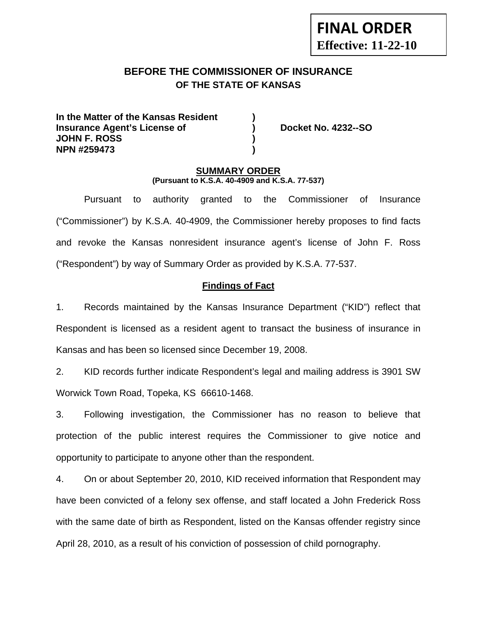# **BEFORE THE COMMISSIONER OF INSURANCE OF THE STATE OF KANSAS**

**In the Matter of the Kansas Resident ) Insurance Agent's License of (a) Booket No. 4232--SO JOHN F. ROSS ) NPN #259473 )** 

**FINAL ORDER**

**Effective: 11-22-10** 

### **SUMMARY ORDER (Pursuant to K.S.A. 40-4909 and K.S.A. 77-537)**

 Pursuant to authority granted to the Commissioner of Insurance ("Commissioner") by K.S.A. 40-4909, the Commissioner hereby proposes to find facts and revoke the Kansas nonresident insurance agent's license of John F. Ross ("Respondent") by way of Summary Order as provided by K.S.A. 77-537.

### **Findings of Fact**

1. Records maintained by the Kansas Insurance Department ("KID") reflect that Respondent is licensed as a resident agent to transact the business of insurance in Kansas and has been so licensed since December 19, 2008.

2. KID records further indicate Respondent's legal and mailing address is 3901 SW Worwick Town Road, Topeka, KS 66610-1468.

3. Following investigation, the Commissioner has no reason to believe that protection of the public interest requires the Commissioner to give notice and opportunity to participate to anyone other than the respondent.

4. On or about September 20, 2010, KID received information that Respondent may have been convicted of a felony sex offense, and staff located a John Frederick Ross with the same date of birth as Respondent, listed on the Kansas offender registry since April 28, 2010, as a result of his conviction of possession of child pornography.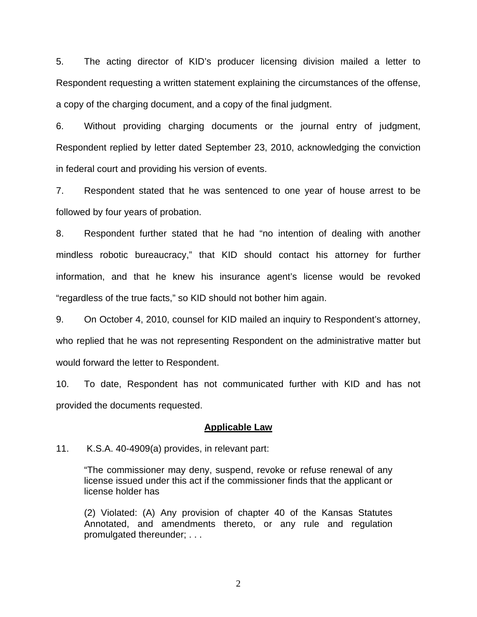5. The acting director of KID's producer licensing division mailed a letter to Respondent requesting a written statement explaining the circumstances of the offense, a copy of the charging document, and a copy of the final judgment.

6. Without providing charging documents or the journal entry of judgment, Respondent replied by letter dated September 23, 2010, acknowledging the conviction in federal court and providing his version of events.

7. Respondent stated that he was sentenced to one year of house arrest to be followed by four years of probation.

8. Respondent further stated that he had "no intention of dealing with another mindless robotic bureaucracy," that KID should contact his attorney for further information, and that he knew his insurance agent's license would be revoked "regardless of the true facts," so KID should not bother him again.

9. On October 4, 2010, counsel for KID mailed an inquiry to Respondent's attorney, who replied that he was not representing Respondent on the administrative matter but would forward the letter to Respondent.

10. To date, Respondent has not communicated further with KID and has not provided the documents requested.

#### **Applicable Law**

11. K.S.A. 40-4909(a) provides, in relevant part:

"The commissioner may deny, suspend, revoke or refuse renewal of any license issued under this act if the commissioner finds that the applicant or license holder has

(2) Violated: (A) Any provision of chapter 40 of the Kansas Statutes Annotated, and amendments thereto, or any rule and regulation promulgated thereunder; . . .

2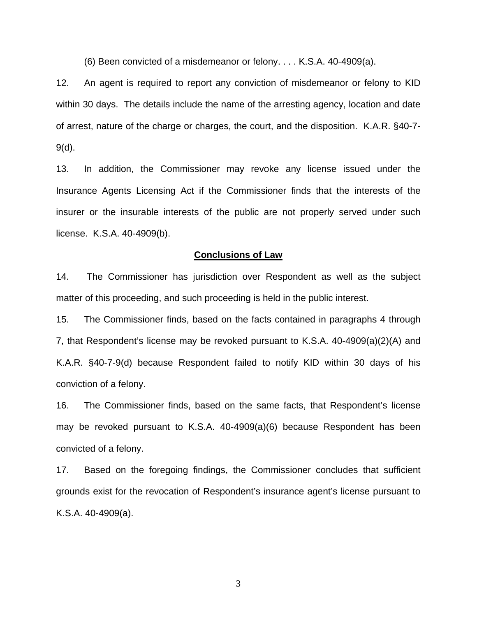(6) Been convicted of a misdemeanor or felony. . . . K.S.A. 40-4909(a).

12. An agent is required to report any conviction of misdemeanor or felony to KID within 30 days. The details include the name of the arresting agency, location and date of arrest, nature of the charge or charges, the court, and the disposition. K.A.R. §40-7- 9(d).

13. In addition, the Commissioner may revoke any license issued under the Insurance Agents Licensing Act if the Commissioner finds that the interests of the insurer or the insurable interests of the public are not properly served under such license. K.S.A. 40-4909(b).

#### **Conclusions of Law**

14. The Commissioner has jurisdiction over Respondent as well as the subject matter of this proceeding, and such proceeding is held in the public interest.

15. The Commissioner finds, based on the facts contained in paragraphs 4 through 7, that Respondent's license may be revoked pursuant to K.S.A. 40-4909(a)(2)(A) and K.A.R. §40-7-9(d) because Respondent failed to notify KID within 30 days of his conviction of a felony.

16. The Commissioner finds, based on the same facts, that Respondent's license may be revoked pursuant to K.S.A. 40-4909(a)(6) because Respondent has been convicted of a felony.

17. Based on the foregoing findings, the Commissioner concludes that sufficient grounds exist for the revocation of Respondent's insurance agent's license pursuant to K.S.A. 40-4909(a).

3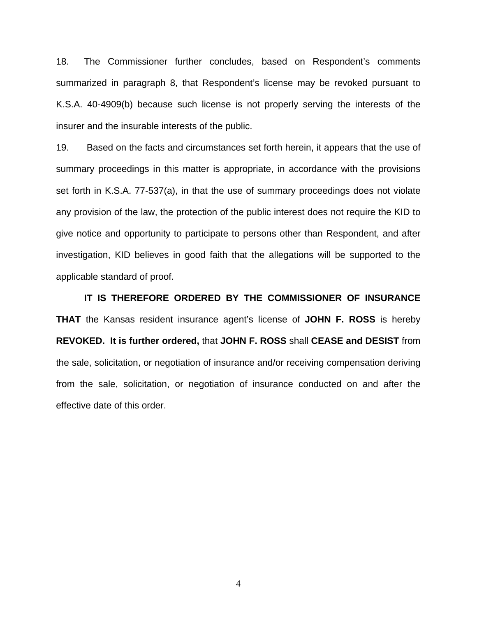18. The Commissioner further concludes, based on Respondent's comments summarized in paragraph 8, that Respondent's license may be revoked pursuant to K.S.A. 40-4909(b) because such license is not properly serving the interests of the insurer and the insurable interests of the public.

19. Based on the facts and circumstances set forth herein, it appears that the use of summary proceedings in this matter is appropriate, in accordance with the provisions set forth in K.S.A. 77-537(a), in that the use of summary proceedings does not violate any provision of the law, the protection of the public interest does not require the KID to give notice and opportunity to participate to persons other than Respondent, and after investigation, KID believes in good faith that the allegations will be supported to the applicable standard of proof.

 **IT IS THEREFORE ORDERED BY THE COMMISSIONER OF INSURANCE THAT** the Kansas resident insurance agent's license of **JOHN F. ROSS** is hereby **REVOKED. It is further ordered,** that **JOHN F. ROSS** shall **CEASE and DESIST** from the sale, solicitation, or negotiation of insurance and/or receiving compensation deriving from the sale, solicitation, or negotiation of insurance conducted on and after the effective date of this order.

4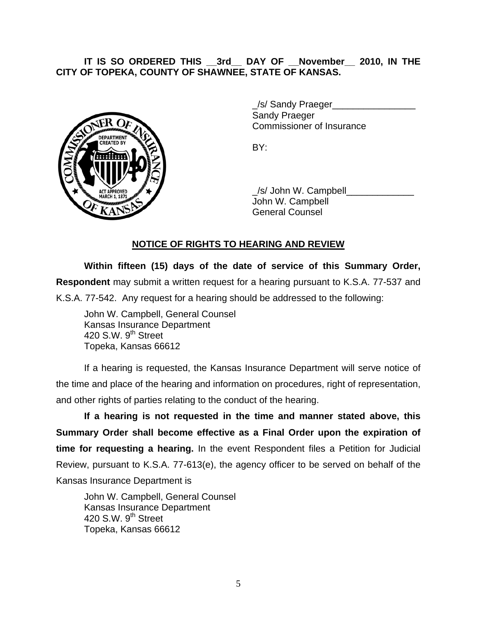## **IT IS SO ORDERED THIS \_\_3rd\_\_ DAY OF \_\_November\_\_ 2010, IN THE CITY OF TOPEKA, COUNTY OF SHAWNEE, STATE OF KANSAS.**



/s/ Sandy Praeger Sandy Praeger Commissioner of Insurance

 \_/s/ John W. Campbell\_\_\_\_\_\_\_\_\_\_\_\_\_ John W. Campbell General Counsel

## **NOTICE OF RIGHTS TO HEARING AND REVIEW**

**Within fifteen (15) days of the date of service of this Summary Order, Respondent** may submit a written request for a hearing pursuant to K.S.A. 77-537 and K.S.A. 77-542. Any request for a hearing should be addressed to the following:

 John W. Campbell, General Counsel Kansas Insurance Department 420 S.W.  $9<sup>th</sup>$  Street Topeka, Kansas 66612

If a hearing is requested, the Kansas Insurance Department will serve notice of the time and place of the hearing and information on procedures, right of representation, and other rights of parties relating to the conduct of the hearing.

**If a hearing is not requested in the time and manner stated above, this Summary Order shall become effective as a Final Order upon the expiration of time for requesting a hearing.** In the event Respondent files a Petition for Judicial Review, pursuant to K.S.A. 77-613(e), the agency officer to be served on behalf of the Kansas Insurance Department is

 John W. Campbell, General Counsel Kansas Insurance Department 420 S.W. 9<sup>th</sup> Street Topeka, Kansas 66612